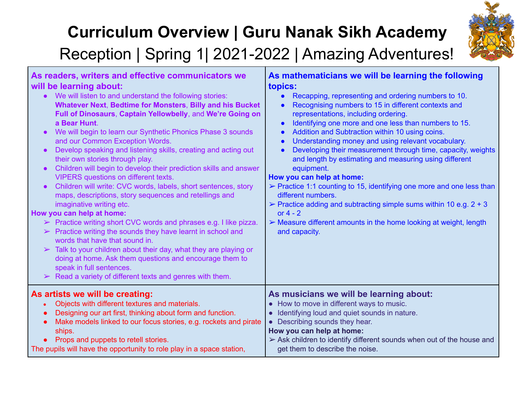## **Curriculum Overview | Guru Nanak Sikh Academy**



### Reception | Spring 1| 2021-2022 | Amazing Adventures!

| As readers, writers and effective communicators we                                                                                                                                                                                                                                                                                                                                                                                                                                                                                                                                                                                                                                                                                                                                                                                                                                                                                                                                                                                                                                                                                                                                                                                   | As mathematicians we will be learning the following                                                                                                                                                                                                                                                                                                                                                                                                                                                                                                                                                                                                                                                                                                                                                                                                                                           |
|--------------------------------------------------------------------------------------------------------------------------------------------------------------------------------------------------------------------------------------------------------------------------------------------------------------------------------------------------------------------------------------------------------------------------------------------------------------------------------------------------------------------------------------------------------------------------------------------------------------------------------------------------------------------------------------------------------------------------------------------------------------------------------------------------------------------------------------------------------------------------------------------------------------------------------------------------------------------------------------------------------------------------------------------------------------------------------------------------------------------------------------------------------------------------------------------------------------------------------------|-----------------------------------------------------------------------------------------------------------------------------------------------------------------------------------------------------------------------------------------------------------------------------------------------------------------------------------------------------------------------------------------------------------------------------------------------------------------------------------------------------------------------------------------------------------------------------------------------------------------------------------------------------------------------------------------------------------------------------------------------------------------------------------------------------------------------------------------------------------------------------------------------|
| will be learning about:                                                                                                                                                                                                                                                                                                                                                                                                                                                                                                                                                                                                                                                                                                                                                                                                                                                                                                                                                                                                                                                                                                                                                                                                              | topics:                                                                                                                                                                                                                                                                                                                                                                                                                                                                                                                                                                                                                                                                                                                                                                                                                                                                                       |
| We will listen to and understand the following stories:<br><b>Whatever Next, Bedtime for Monsters, Billy and his Bucket</b><br>Full of Dinosaurs, Captain Yellowbelly, and We're Going on<br>a Bear Hunt.<br>We will begin to learn our Synthetic Phonics Phase 3 sounds<br>$\bullet$<br>and our Common Exception Words.<br>Develop speaking and listening skills, creating and acting out<br>$\bullet$<br>their own stories through play.<br>Children will begin to develop their prediction skills and answer<br>$\bullet$<br><b>VIPERS</b> questions on different texts.<br>Children will write: CVC words, labels, short sentences, story<br>maps, descriptions, story sequences and retellings and<br>imaginative writing etc.<br>How you can help at home:<br>$\triangleright$ Practice writing short CVC words and phrases e.g. I like pizza.<br>$\triangleright$ Practice writing the sounds they have learnt in school and<br>words that have that sound in.<br>Talk to your children about their day, what they are playing or<br>$\blacktriangleright$<br>doing at home. Ask them questions and encourage them to<br>speak in full sentences.<br>$\triangleright$ Read a variety of different texts and genres with them. | Recapping, representing and ordering numbers to 10.<br>$\bullet$<br>Recognising numbers to 15 in different contexts and<br>$\bullet$<br>representations, including ordering.<br>Identifying one more and one less than numbers to 15.<br>$\bullet$<br>Addition and Subtraction within 10 using coins.<br>$\bullet$<br>Understanding money and using relevant vocabulary.<br>$\bullet$<br>Developing their measurement through time, capacity, weights<br>$\bullet$<br>and length by estimating and measuring using different<br>equipment.<br>How you can help at home:<br>$\triangleright$ Practice 1:1 counting to 15, identifying one more and one less than<br>different numbers.<br>$\triangleright$ Practice adding and subtracting simple sums within 10 e.g. 2 + 3<br>or $4 - 2$<br>$\triangleright$ Measure different amounts in the home looking at weight, length<br>and capacity. |
| As artists we will be creating:<br>Objects with different textures and materials.<br>Designing our art first, thinking about form and function.<br>Make models linked to our focus stories, e.g. rockets and pirate<br>$\bullet$<br>ships.<br>Props and puppets to retell stories.<br>The pupils will have the opportunity to role play in a space station,                                                                                                                                                                                                                                                                                                                                                                                                                                                                                                                                                                                                                                                                                                                                                                                                                                                                          | As musicians we will be learning about:<br>• How to move in different ways to music.<br>• Identifying loud and quiet sounds in nature.<br>• Describing sounds they hear.<br>How you can help at home:<br>$\triangleright$ Ask children to identify different sounds when out of the house and<br>get them to describe the noise.                                                                                                                                                                                                                                                                                                                                                                                                                                                                                                                                                              |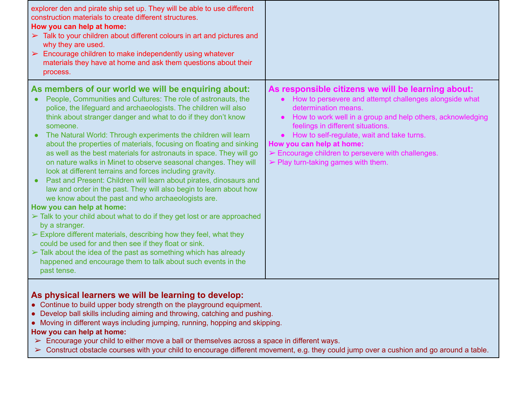| explorer den and pirate ship set up. They will be able to use different<br>construction materials to create different structures.<br>How you can help at home:<br>$\triangleright$ Talk to your children about different colours in art and pictures and<br>why they are used.<br>$\triangleright$ Encourage children to make independently using whatever<br>materials they have at home and ask them questions about their<br>process.                                                                                                                                                                                                                                                                                                                                                                                                                                                                                                                                                                                                                                                                                                                                                                                                                                                                   |                                                                                                                                                                                                                                                                                                                                                                                                                                                                                      |
|------------------------------------------------------------------------------------------------------------------------------------------------------------------------------------------------------------------------------------------------------------------------------------------------------------------------------------------------------------------------------------------------------------------------------------------------------------------------------------------------------------------------------------------------------------------------------------------------------------------------------------------------------------------------------------------------------------------------------------------------------------------------------------------------------------------------------------------------------------------------------------------------------------------------------------------------------------------------------------------------------------------------------------------------------------------------------------------------------------------------------------------------------------------------------------------------------------------------------------------------------------------------------------------------------------|--------------------------------------------------------------------------------------------------------------------------------------------------------------------------------------------------------------------------------------------------------------------------------------------------------------------------------------------------------------------------------------------------------------------------------------------------------------------------------------|
| As members of our world we will be enquiring about:<br>People, Communities and Cultures: The role of astronauts, the<br>$\bullet$<br>police, the lifeguard and archaeologists. The children will also<br>think about stranger danger and what to do if they don't know<br>someone.<br>The Natural World: Through experiments the children will learn<br>about the properties of materials, focusing on floating and sinking<br>as well as the best materials for astronauts in space. They will go<br>on nature walks in Minet to observe seasonal changes. They will<br>look at different terrains and forces including gravity.<br>Past and Present: Children will learn about pirates, dinosaurs and<br>$\bullet$<br>law and order in the past. They will also begin to learn about how<br>we know about the past and who archaeologists are.<br>How you can help at home:<br>$\triangleright$ Talk to your child about what to do if they get lost or are approached<br>by a stranger.<br>$\triangleright$ Explore different materials, describing how they feel, what they<br>could be used for and then see if they float or sink.<br>$\triangleright$ Talk about the idea of the past as something which has already<br>happened and encourage them to talk about such events in the<br>past tense. | As responsible citizens we will be learning about:<br>How to persevere and attempt challenges alongside what<br>$\bullet$<br>determination means.<br>How to work well in a group and help others, acknowledging<br>$\bullet$<br>feelings in different situations.<br>How to self-regulate, wait and take turns.<br>$\bullet$<br>How you can help at home:<br>$\triangleright$ Encourage children to persevere with challenges.<br>$\triangleright$ Play turn-taking games with them. |

### **As physical learners we will be learning to develop:**

- Continue to build upper body strength on the playground equipment.
- Develop ball skills including aiming and throwing, catching and pushing.
- Moving in different ways including jumping, running, hopping and skipping.

#### **How you can help at home:**

- $\triangleright$  Encourage your child to either move a ball or themselves across a space in different ways.
- ➢ Construct obstacle courses with your child to encourage different movement, e.g. they could jump over a cushion and go around a table.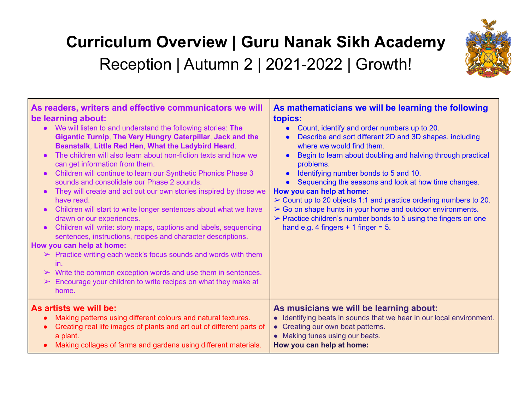# **Curriculum Overview | Guru Nanak Sikh Academy** Reception | Autumn 2 | 2021-2022 | Growth!



| As readers, writers and effective communicators we will<br>be learning about:<br>We will listen to and understand the following stories: The<br>$\bullet$<br>Gigantic Turnip, The Very Hungry Caterpillar, Jack and the<br>Beanstalk, Little Red Hen, What the Ladybird Heard.<br>The children will also learn about non-fiction texts and how we<br>can get information from them.<br>Children will continue to learn our Synthetic Phonics Phase 3<br>sounds and consolidate our Phase 2 sounds.<br>They will create and act out our own stories inspired by those we<br>have read.<br>Children will start to write longer sentences about what we have<br>drawn or our experiences.<br>Children will write: story maps, captions and labels, sequencing<br>sentences, instructions, recipes and character descriptions.<br>How you can help at home:<br>$\triangleright$ Practice writing each week's focus sounds and words with them<br>in.<br>$\triangleright$ Write the common exception words and use them in sentences.<br>$\triangleright$ Encourage your children to write recipes on what they make at<br>home. | As mathematicians we will be learning the following<br>topics:<br>Count, identify and order numbers up to 20.<br>$\bullet$<br>Describe and sort different 2D and 3D shapes, including<br>where we would find them.<br>Begin to learn about doubling and halving through practical<br>problems.<br>Identifying number bonds to 5 and 10.<br>$\bullet$<br>Sequencing the seasons and look at how time changes.<br>$\bullet$<br>How you can help at home:<br>$\triangleright$ Count up to 20 objects 1:1 and practice ordering numbers to 20.<br>> Go on shape hunts in your home and outdoor environments.<br>$\triangleright$ Practice children's number bonds to 5 using the fingers on one<br>hand e.g. 4 fingers $+$ 1 finger = 5. |
|-----------------------------------------------------------------------------------------------------------------------------------------------------------------------------------------------------------------------------------------------------------------------------------------------------------------------------------------------------------------------------------------------------------------------------------------------------------------------------------------------------------------------------------------------------------------------------------------------------------------------------------------------------------------------------------------------------------------------------------------------------------------------------------------------------------------------------------------------------------------------------------------------------------------------------------------------------------------------------------------------------------------------------------------------------------------------------------------------------------------------------|--------------------------------------------------------------------------------------------------------------------------------------------------------------------------------------------------------------------------------------------------------------------------------------------------------------------------------------------------------------------------------------------------------------------------------------------------------------------------------------------------------------------------------------------------------------------------------------------------------------------------------------------------------------------------------------------------------------------------------------|
| As artists we will be:                                                                                                                                                                                                                                                                                                                                                                                                                                                                                                                                                                                                                                                                                                                                                                                                                                                                                                                                                                                                                                                                                                      | As musicians we will be learning about:                                                                                                                                                                                                                                                                                                                                                                                                                                                                                                                                                                                                                                                                                              |
| Making patterns using different colours and natural textures.                                                                                                                                                                                                                                                                                                                                                                                                                                                                                                                                                                                                                                                                                                                                                                                                                                                                                                                                                                                                                                                               | • Identifying beats in sounds that we hear in our local environment.                                                                                                                                                                                                                                                                                                                                                                                                                                                                                                                                                                                                                                                                 |
| Creating real life images of plants and art out of different parts of                                                                                                                                                                                                                                                                                                                                                                                                                                                                                                                                                                                                                                                                                                                                                                                                                                                                                                                                                                                                                                                       | • Creating our own beat patterns.                                                                                                                                                                                                                                                                                                                                                                                                                                                                                                                                                                                                                                                                                                    |
| a plant.                                                                                                                                                                                                                                                                                                                                                                                                                                                                                                                                                                                                                                                                                                                                                                                                                                                                                                                                                                                                                                                                                                                    | • Making tunes using our beats.                                                                                                                                                                                                                                                                                                                                                                                                                                                                                                                                                                                                                                                                                                      |
| Making collages of farms and gardens using different materials.                                                                                                                                                                                                                                                                                                                                                                                                                                                                                                                                                                                                                                                                                                                                                                                                                                                                                                                                                                                                                                                             | How you can help at home:                                                                                                                                                                                                                                                                                                                                                                                                                                                                                                                                                                                                                                                                                                            |